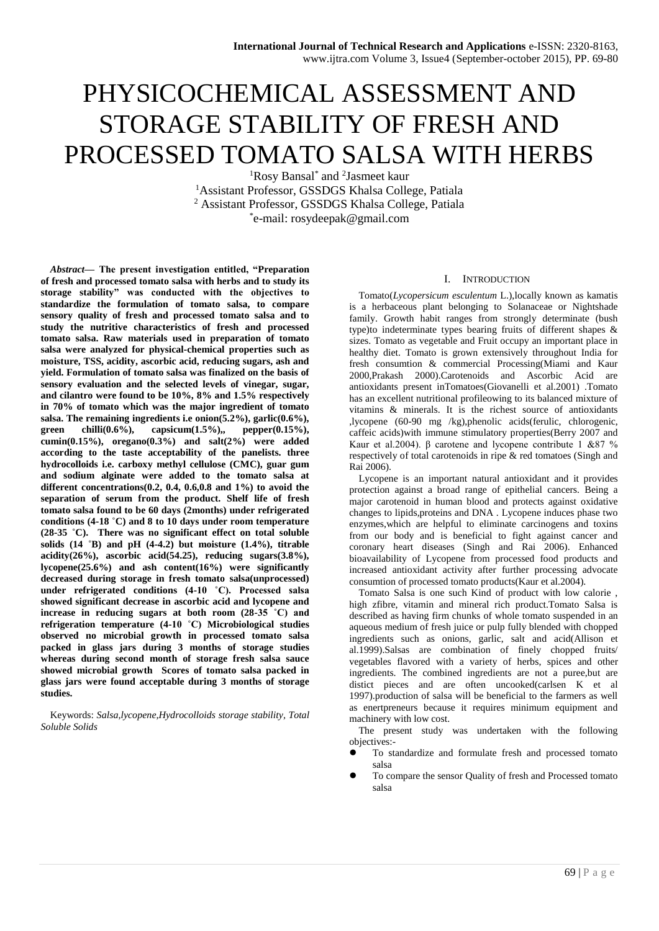# PHYSICOCHEMICAL ASSESSMENT AND STORAGE STABILITY OF FRESH AND PROCESSED TOMATO SALSA WITH HERBS

<sup>1</sup>Rosy Bansal<sup>\*</sup> and <sup>2</sup>Jasmeet kaur <sup>1</sup>Assistant Professor, GSSDGS Khalsa College, Patiala <sup>2</sup> Assistant Professor, GSSDGS Khalsa College, Patiala \* e-mail: rosydeepak@gmail.com

*Abstract***— The present investigation entitled, "Preparation of fresh and processed tomato salsa with herbs and to study its storage stability" was conducted with the objectives to standardize the formulation of tomato salsa, to compare sensory quality of fresh and processed tomato salsa and to study the nutritive characteristics of fresh and processed tomato salsa. Raw materials used in preparation of tomato salsa were analyzed for physical-chemical properties such as moisture, TSS, acidity, ascorbic acid, reducing sugars, ash and yield. Formulation of tomato salsa was finalized on the basis of sensory evaluation and the selected levels of vinegar, sugar, and cilantro were found to be 10%, 8% and 1.5% respectively in 70% of tomato which was the major ingredient of tomato salsa. The remaining ingredients i.e onion(5.2%), garlic(0.6%), green chilli(0.6%), capsicum(1.5%),, pepper(0.15%), cumin(0.15%), oregano(0.3%) and salt(2%) were added according to the taste acceptability of the panelists. three hydrocolloids i.e. carboxy methyl cellulose (CMC), guar gum and sodium alginate were added to the tomato salsa at different concentrations(0.2, 0.4, 0.6,0.8 and 1%) to avoid the separation of serum from the product. Shelf life of fresh tomato salsa found to be 60 days (2months) under refrigerated conditions (4-18 ˚C) and 8 to 10 days under room temperature (28-35 ˚C). There was no significant effect on total soluble solids (14 ˚B) and pH (4-4.2) but moisture (1.4%), titrable acidity(26%), ascorbic acid(54.25), reducing sugars(3.8%), lycopene(25.6%) and ash content(16%) were significantly decreased during storage in fresh tomato salsa(unprocessed) under refrigerated conditions (4-10 ˚C). Processed salsa showed significant decrease in ascorbic acid and lycopene and increase in reducing sugars at both room (28-35 ˚C) and refrigeration temperature (4-10 ˚C) Microbiological studies observed no microbial growth in processed tomato salsa packed in glass jars during 3 months of storage studies whereas during second month of storage fresh salsa sauce showed microbial growth Scores of tomato salsa packed in glass jars were found acceptable during 3 months of storage studies.**

Keywords: *Salsa,lycopene,Hydrocolloids storage stability, Total Soluble Solids*

#### I. INTRODUCTION

Tomato(*Lycopersicum esculentum* L.),locally known as kamatis is a herbaceous plant belonging to Solanaceae or Nightshade family. Growth habit ranges from strongly determinate (bush type)to indeterminate types bearing fruits of different shapes & sizes. Tomato as vegetable and Fruit occupy an important place in healthy diet. Tomato is grown extensively throughout India for fresh consumtion & commercial Processing(Miami and Kaur 2000,Prakash 2000).Carotenoids and Ascorbic Acid are antioxidants present inTomatoes(Giovanelli et al.2001) .Tomato has an excellent nutritional profileowing to its balanced mixture of vitamins & minerals. It is the richest source of antioxidants ,lycopene (60-90 mg /kg),phenolic acids(ferulic, chlorogenic, caffeic acids)with immune stimulatory properties(Berry 2007 and Kaur et al.2004). β carotene and lycopene contribute 1 &87 % respectively of total carotenoids in ripe & red tomatoes (Singh and Rai 2006).

Lycopene is an important natural antioxidant and it provides protection against a broad range of epithelial cancers. Being a major carotenoid in human blood and protects against oxidative changes to lipids,proteins and DNA . Lycopene induces phase two enzymes,which are helpful to eliminate carcinogens and toxins from our body and is beneficial to fight against cancer and coronary heart diseases (Singh and Rai 2006). Enhanced bioavailability of Lycopene from processed food products and increased antioxidant activity after further processing advocate consumtion of processed tomato products(Kaur et al.2004).

Tomato Salsa is one such Kind of product with low calorie , high zfibre, vitamin and mineral rich product.Tomato Salsa is described as having firm chunks of whole tomato suspended in an aqueous medium of fresh juice or pulp fully blended with chopped ingredients such as onions, garlic, salt and acid(Allison et al.1999).Salsas are combination of finely chopped fruits/ vegetables flavored with a variety of herbs, spices and other ingredients. The combined ingredients are not a puree,but are distict pieces and are often uncooked(carlsen K et al 1997).production of salsa will be beneficial to the farmers as well as enertpreneurs because it requires minimum equipment and machinery with low cost.

The present study was undertaken with the following objectives:-

- To standardize and formulate fresh and processed tomato salsa
- To compare the sensor Quality of fresh and Processed tomato salsa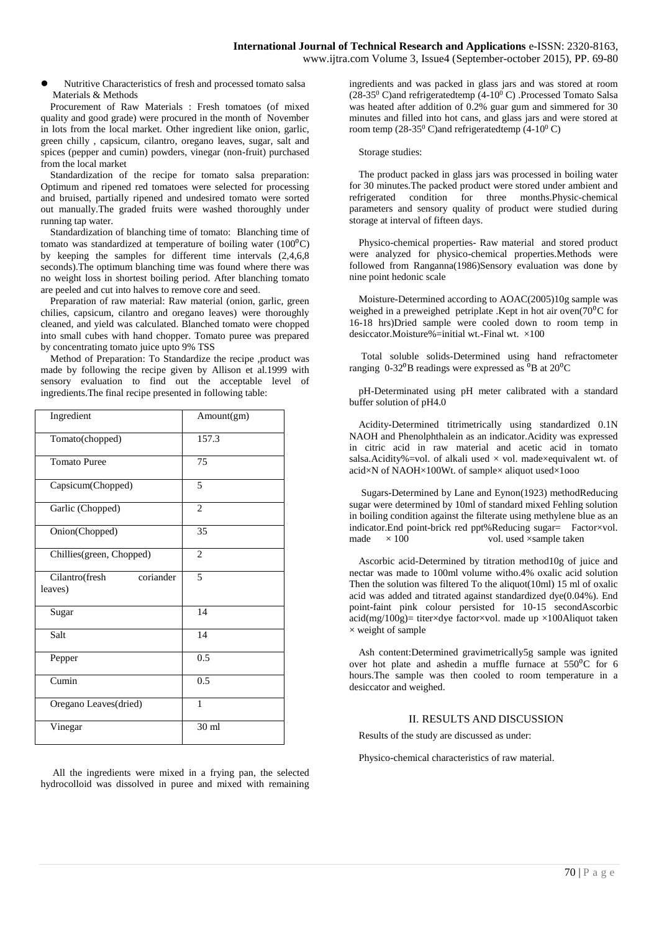Nutritive Characteristics of fresh and processed tomato salsa Materials & Methods

Procurement of Raw Materials : Fresh tomatoes (of mixed quality and good grade) were procured in the month of November in lots from the local market. Other ingredient like onion, garlic, green chilly , capsicum, cilantro, oregano leaves, sugar, salt and spices (pepper and cumin) powders, vinegar (non-fruit) purchased from the local market

Standardization of the recipe for tomato salsa preparation: Optimum and ripened red tomatoes were selected for processing and bruised, partially ripened and undesired tomato were sorted out manually.The graded fruits were washed thoroughly under running tap water.

Standardization of blanching time of tomato: Blanching time of tomato was standardized at temperature of boiling water  $(100^{\circ}C)$ by keeping the samples for different time intervals (2,4,6,8 seconds).The optimum blanching time was found where there was no weight loss in shortest boiling period. After blanching tomato are peeled and cut into halves to remove core and seed.

Preparation of raw material: Raw material (onion, garlic, green chilies, capsicum, cilantro and oregano leaves) were thoroughly cleaned, and yield was calculated. Blanched tomato were chopped into small cubes with hand chopper. Tomato puree was prepared by concentrating tomato juice upto 9% TSS

Method of Preparation: To Standardize the recipe ,product was made by following the recipe given by Allison et al.1999 with sensory evaluation to find out the acceptable level of ingredients.The final recipe presented in following table:

| Ingredient                             | Amount(gm)       |
|----------------------------------------|------------------|
| Tomato(chopped)                        | 157.3            |
| <b>Tomato Puree</b>                    | 75               |
| Capsicum(Chopped)                      | $\overline{5}$   |
| Garlic (Chopped)                       | $\overline{c}$   |
| Onion(Chopped)                         | 35               |
| Chillies(green, Chopped)               | $\overline{2}$   |
| coriander<br>Cilantro(fresh<br>leaves) | $\overline{5}$   |
| Sugar                                  | 14               |
| Salt                                   | 14               |
| Pepper                                 | 0.5              |
| Cumin                                  | $\overline{0.5}$ |
| Oregano Leaves(dried)                  | $\mathbf{1}$     |
| Vinegar                                | 30 ml            |

All the ingredients were mixed in a frying pan, the selected hydrocolloid was dissolved in puree and mixed with remaining ingredients and was packed in glass jars and was stored at room (28-35<sup>0</sup> C)and refrigeratedtemp (4-10<sup>0</sup> C) .Processed Tomato Salsa was heated after addition of 0.2% guar gum and simmered for 30 minutes and filled into hot cans, and glass jars and were stored at room temp (28-35<sup>0</sup> C)and refrigeratedtemp (4-10<sup>0</sup> C)

#### Storage studies:

The product packed in glass jars was processed in boiling water for 30 minutes.The packed product were stored under ambient and refrigerated condition for three months.Physic-chemical parameters and sensory quality of product were studied during storage at interval of fifteen days.

Physico-chemical properties- Raw material and stored product were analyzed for physico-chemical properties.Methods were followed from Ranganna(1986)Sensory evaluation was done by nine point hedonic scale

Moisture-Determined according to AOAC(2005)10g sample was weighed in a preweighed petriplate .Kept in hot air oven $(70^{\circ}$ C for 16-18 hrs)Dried sample were cooled down to room temp in desiccator.Moisture%=initial wt.-Final wt. ×100

Total soluble solids-Determined using hand refractometer ranging  $0-32^0B$  readings were expressed as  ${}^{0}B$  at  $20^0C$ 

pH-Determinated using pH meter calibrated with a standard buffer solution of pH4.0

Acidity-Determined titrimetrically using standardized 0.1N NAOH and Phenolphthalein as an indicator.Acidity was expressed in citric acid in raw material and acetic acid in tomato salsa.Acidity%=vol. of alkali used  $\times$  vol. made×equivalent wt. of acid×N of NAOH×100Wt. of sample× aliquot used×1ooo

Sugars-Determined by Lane and Eynon(1923) methodReducing sugar were determined by 10ml of standard mixed Fehling solution in boiling condition against the filterate using methylene blue as an indicator.End point-brick red ppt%Reducing sugar= Factor×vol. made  $\times 100$  vol. used  $\times$ sample taken

Ascorbic acid-Determined by titration method10g of juice and nectar was made to 100ml volume witho.4% oxalic acid solution Then the solution was filtered To the aliquot(10ml) 15 ml of oxalic acid was added and titrated against standardized dye(0.04%). End point-faint pink colour persisted for 10-15 secondAscorbic  $\text{acid}(mg/100g)$ = titer×dye factor×vol. made up ×100Aliquot taken  $\times$  weight of sample

Ash content:Determined gravimetrically5g sample was ignited over hot plate and ashedin a muffle furnace at  $550^{\circ}$ C for 6 hours.The sample was then cooled to room temperature in a desiccator and weighed.

#### II. RESULTS AND DISCUSSION

Results of the study are discussed as under:

Physico-chemical characteristics of raw material.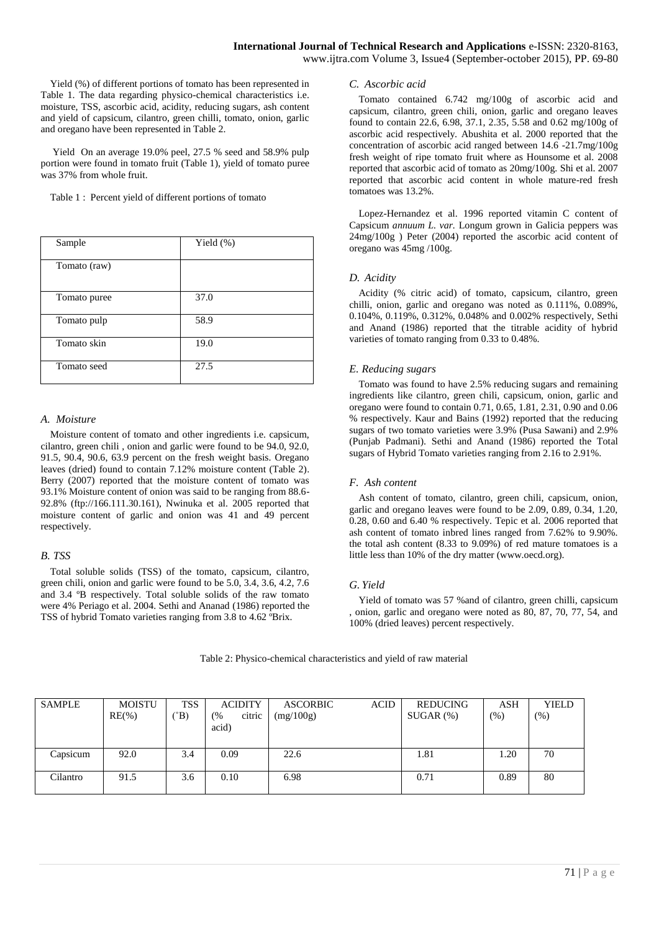Yield (%) of different portions of tomato has been represented in Table 1. The data regarding physico-chemical characteristics i.e. moisture, TSS, ascorbic acid, acidity, reducing sugars, ash content and yield of capsicum, cilantro, green chilli, tomato, onion, garlic and oregano have been represented in Table 2.

Yield On an average 19.0% peel, 27.5 % seed and 58.9% pulp portion were found in tomato fruit (Table 1), yield of tomato puree was 37% from whole fruit.

Table 1 : Percent yield of different portions of tomato

| Sample       | Yield $(\%)$ |
|--------------|--------------|
| Tomato (raw) |              |
| Tomato puree | 37.0         |
| Tomato pulp  | 58.9         |
| Tomato skin  | 19.0         |
| Tomato seed  | 27.5         |

#### *A. Moisture*

Moisture content of tomato and other ingredients i.e. capsicum, cilantro, green chili , onion and garlic were found to be 94.0, 92.0, 91.5, 90.4, 90.6, 63.9 percent on the fresh weight basis. Oregano leaves (dried) found to contain 7.12% moisture content (Table 2). Berry (2007) reported that the moisture content of tomato was 93.1% Moisture content of onion was said to be ranging from 88.6- 92.8% (ftp://166.111.30.161), Nwinuka et al. 2005 reported that moisture content of garlic and onion was 41 and 49 percent respectively.

# *B. TSS*

Total soluble solids (TSS) of the tomato, capsicum, cilantro, green chili, onion and garlic were found to be 5.0, 3.4, 3.6, 4.2, 7.6 and 3.4 ºB respectively. Total soluble solids of the raw tomato were 4% Periago et al. 2004. Sethi and Ananad (1986) reported the TSS of hybrid Tomato varieties ranging from 3.8 to 4.62 ºBrix.

#### *C. Ascorbic acid*

Tomato contained 6.742 mg/100g of ascorbic acid and capsicum, cilantro, green chili, onion, garlic and oregano leaves found to contain 22.6, 6.98, 37.1, 2.35, 5.58 and 0.62 mg/100g of ascorbic acid respectively. Abushita et al. 2000 reported that the concentration of ascorbic acid ranged between 14.6 -21.7mg/100g fresh weight of ripe tomato fruit where as Hounsome et al. 2008 reported that ascorbic acid of tomato as 20mg/100g. Shi et al. 2007 reported that ascorbic acid content in whole mature-red fresh tomatoes was 13.2%.

Lopez-Hernandez et al. 1996 reported vitamin C content of Capsicum *annuum L. var.* Longum grown in Galicia peppers was 24mg/100g ) Peter (2004) reported the ascorbic acid content of oregano was 45mg /100g.

# *D. Acidity*

Acidity (% citric acid) of tomato, capsicum, cilantro, green chilli, onion, garlic and oregano was noted as 0.111%, 0.089%, 0.104%, 0.119%, 0.312%, 0.048% and 0.002% respectively, Sethi and Anand (1986) reported that the titrable acidity of hybrid varieties of tomato ranging from 0.33 to 0.48%.

# *E. Reducing sugars*

Tomato was found to have 2.5% reducing sugars and remaining ingredients like cilantro, green chili, capsicum, onion, garlic and oregano were found to contain 0.71, 0.65, 1.81, 2.31, 0.90 and 0.06 % respectively. Kaur and Bains (1992) reported that the reducing sugars of two tomato varieties were 3.9% (Pusa Sawani) and 2.9% (Punjab Padmani). Sethi and Anand (1986) reported the Total sugars of Hybrid Tomato varieties ranging from 2.16 to 2.91%.

# *F. Ash content*

Ash content of tomato, cilantro, green chili, capsicum, onion, garlic and oregano leaves were found to be 2.09, 0.89, 0.34, 1.20, 0.28, 0.60 and 6.40 % respectively. Tepic et al. 2006 reported that ash content of tomato inbred lines ranged from 7.62% to 9.90%. the total ash content (8.33 to 9.09%) of red mature tomatoes is a little less than 10% of the dry matter (www.oecd.org).

# *G. Yield*

Yield of tomato was 57 %and of cilantro, green chilli, capsicum onion, garlic and oregano were noted as  $80, 87, 70, 77, 54$ , and 100% (dried leaves) percent respectively.

| <b>SAMPLE</b> | <b>MOISTU</b> | <b>TSS</b>   | <b>ACIDITY</b> | <b>ASCORBIC</b> | <b>ACID</b> | REDUCING    | ASH  | <b>YIELD</b> |
|---------------|---------------|--------------|----------------|-----------------|-------------|-------------|------|--------------|
|               | $RE(\% )$     | $\mathrm{B}$ | citric<br>(%   | (mg/100g)       |             | $SUGAR$ $%$ | (% ) | $(\%)$       |
|               |               |              | acid)          |                 |             |             |      |              |
|               |               |              |                |                 |             |             |      |              |
| Capsicum      | 92.0          | 3.4          | 0.09           | 22.6            |             | 1.81        | 1.20 | 70           |
|               |               |              |                |                 |             |             |      |              |
| Cilantro      | 91.5          | 3.6          | 0.10           | 6.98            |             | 0.71        | 0.89 | 80           |
|               |               |              |                |                 |             |             |      |              |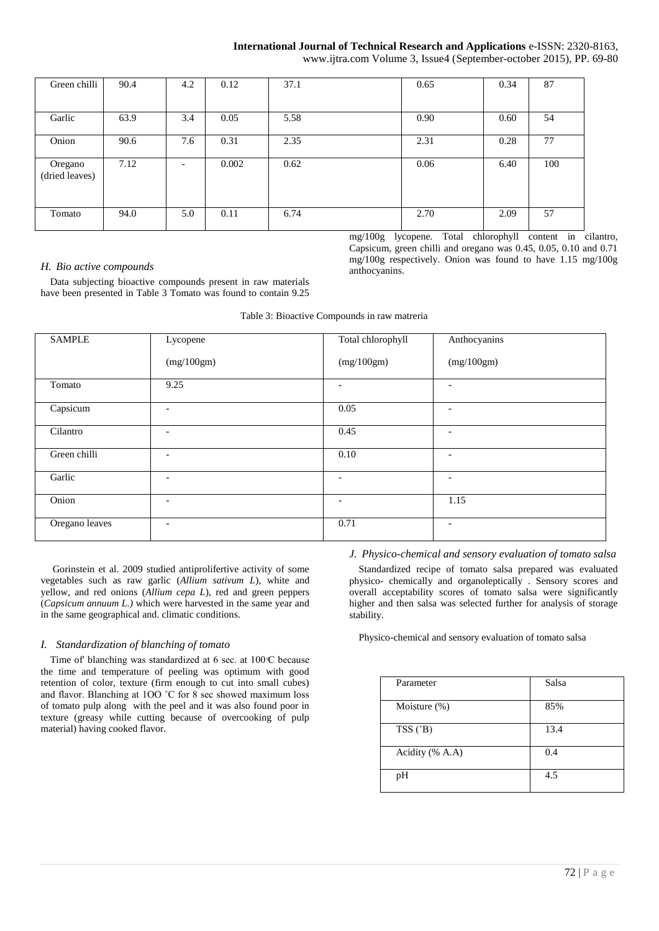www.ijtra.com Volume 3, Issue4 (September-october 2015), PP. 69-80

| Green chilli              | 90.4 | 4.2                      | 0.12  | 37.1 | 0.65 | 0.34 | 87  |
|---------------------------|------|--------------------------|-------|------|------|------|-----|
| Garlic                    | 63.9 | 3.4                      | 0.05  | 5.58 | 0.90 | 0.60 | 54  |
| Onion                     | 90.6 | 7.6                      | 0.31  | 2.35 | 2.31 | 0.28 | 77  |
| Oregano<br>(dried leaves) | 7.12 | $\overline{\phantom{0}}$ | 0.002 | 0.62 | 0.06 | 6.40 | 100 |
| Tomato                    | 94.0 | 5.0                      | 0.11  | 6.74 | 2.70 | 2.09 | 57  |

mg/100g lycopene. Total chlorophyll content in cilantro, Capsicum, green chilli and oregano was 0.45, 0.05, 0.10 and 0.71 mg/100g respectively. Onion was found to have 1.15 mg/100g anthocyanins.

# *H. Bio active compounds*

Data subjecting bioactive compounds present in raw materials have been presented in Table 3 Tomato was found to contain 9.25

|  |  |  | Table 3: Bioactive Compounds in raw matreria |  |  |
|--|--|--|----------------------------------------------|--|--|
|--|--|--|----------------------------------------------|--|--|

| <b>SAMPLE</b>  | Lycopene                 | Total chlorophyll        | Anthocyanins             |
|----------------|--------------------------|--------------------------|--------------------------|
|                | (mg/100gm)               | (mg/100gm)               | (mg/100gm)               |
| Tomato         | 9.25                     | $\overline{\phantom{0}}$ | $\overline{\phantom{a}}$ |
| Capsicum       | $\overline{\phantom{a}}$ | 0.05                     | $\overline{\phantom{a}}$ |
| Cilantro       | $\overline{\phantom{a}}$ | 0.45                     | $\overline{\phantom{a}}$ |
| Green chilli   | $\overline{\phantom{a}}$ | 0.10                     | $\overline{\phantom{a}}$ |
| Garlic         | $\overline{\phantom{a}}$ | $\overline{\phantom{a}}$ | $\overline{\phantom{a}}$ |
| Onion          | $\overline{\phantom{a}}$ | $\overline{\phantom{a}}$ | 1.15                     |
| Oregano leaves | $\overline{\phantom{a}}$ | 0.71                     | $\overline{\phantom{a}}$ |

Gorinstein et al. 2009 studied antiprolifertive activity of some vegetables such as raw garlic (*Allium sativum L*), white and yellow, and red onions (*Allium cepa L*), red and green peppers (*Capsicum annuum L.)* which were harvested in the same year and in the same geographical and. climatic conditions.

#### *I. Standardization of blanching of tomato*

Time of blanching was standardized at 6 sec. at  $100 \text{ C}$  because the time and temperature of peeling was optimum with good retention of color, texture (firm enough to cut into small cubes) and flavor. Blanching at 1OO ˚C for 8 sec showed maximum loss of tomato pulp along with the peel and it was also found poor in texture (greasy while cutting because of overcooking of pulp material) having cooked flavor.

*J. Physico-chemical and sensory evaluation of tomato salsa* 

Standardized recipe of tomato salsa prepared was evaluated physico- chemically and organoleptically . Sensory scores and overall acceptability scores of tomato salsa were significantly higher and then salsa was selected further for analysis of storage stability.

Physico-chemical and sensory evaluation of tomato salsa

| Parameter        | Salsa |
|------------------|-------|
| Moisture $(\%)$  | 85%   |
| $TSS(^{\circ}B)$ | 13.4  |
| Acidity (% A.A)  | 0.4   |
| pH               | 4.5   |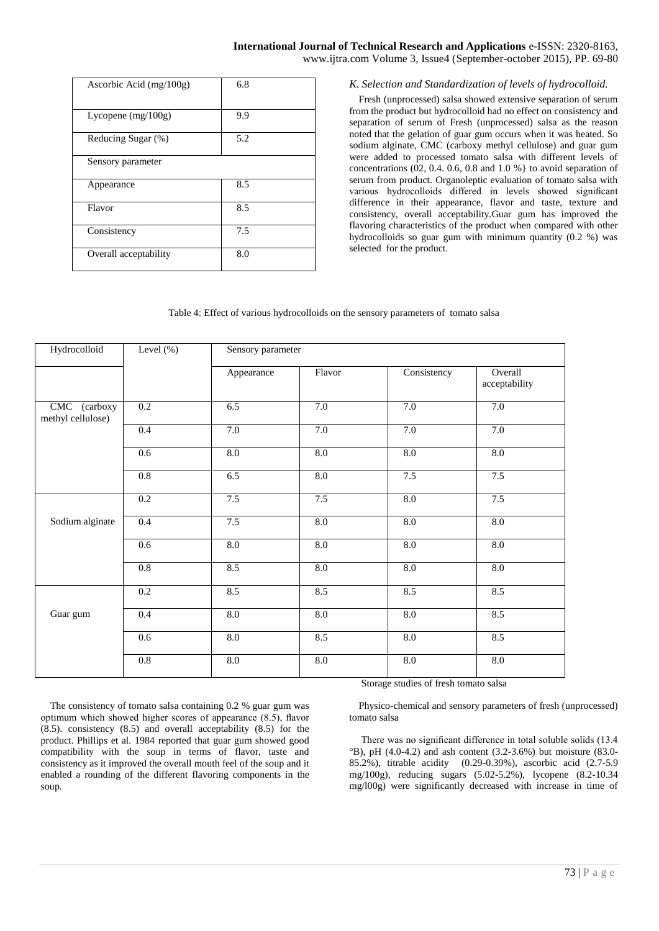| Ascorbic Acid $(mg/100g)$ | 6.8 |
|---------------------------|-----|
| Lycopene $(mg/100g)$      | 9.9 |
| Reducing Sugar (%)        | 5.2 |
| Sensory parameter         |     |
| Appearance                | 8.5 |
| Flavor                    | 8.5 |
| Consistency               | 7.5 |
| Overall acceptability     | 8.0 |

# *K. Selection and Standardization of levels of hydrocolloid.*

Fresh (unprocessed) salsa showed extensive separation of serum from the product but hydrocolloid had no effect on consistency and separation of serum of Fresh (unprocessed) salsa as the reason noted that the gelation of guar gum occurs when it was heated. So sodium alginate, CMC (carboxy methyl cellulose) and guar gum were added to processed tomato salsa with different levels of concentrations  $(02, 0.4, 0.6, 0.8, 0.8, 1.0, 0.9)$  to avoid separation of serum from product. Organoleptic evaluation of tomato salsa with various hydrocolloids differed in levels showed significant difference in their appearance, flavor and taste, texture and consistency, overall acceptability.Guar gum has improved the flavoring characteristics of the product when compared with other hydrocolloids so guar gum with minimum quantity (0.2 %) was selected for the product.

#### Table 4: Effect of various hydrocolloids on the sensory parameters of tomato salsa

| Hydrocolloid                      | Level $(\%)$     | Sensory parameter |                  |             |                          |  |
|-----------------------------------|------------------|-------------------|------------------|-------------|--------------------------|--|
|                                   |                  | Appearance        | Flavor           | Consistency | Overall<br>acceptability |  |
| CMC (carboxy<br>methyl cellulose) | 0.2              | 6.5               | $7.0\,$          | $7.0\,$     | $7.0\,$                  |  |
|                                   | 0.4              | 7.0               | 7.0              | 7.0         | 7.0                      |  |
|                                   | 0.6              | $\overline{8.0}$  | $\overline{8.0}$ | 8.0         | $\overline{8.0}$         |  |
|                                   | 0.8              | 6.5               | 8.0              | 7.5         | 7.5                      |  |
|                                   | 0.2              | 7.5               | 7.5              | 8.0         | 7.5                      |  |
| Sodium alginate                   | 0.4              | 7.5               | $\overline{8.0}$ | 8.0         | 8.0                      |  |
|                                   | 0.6              | 8.0               | 8.0              | 8.0         | 8.0                      |  |
|                                   | 0.8              | 8.5               | 8.0              | 8.0         | 8.0                      |  |
|                                   | $\overline{0.2}$ | 8.5               | 8.5              | 8.5         | 8.5                      |  |
| Guar gum                          | 0.4              | $\overline{8.0}$  | 8.0              | 8.0         | 8.5                      |  |
|                                   | 0.6              | 8.0               | 8.5              | 8.0         | 8.5                      |  |
|                                   | $\overline{0.8}$ | $\overline{8.0}$  | 8.0              | 8.0         | $\overline{8.0}$         |  |

The consistency of tomato salsa containing 0.2 % guar gum was optimum which showed higher scores of appearance (8.5), flavor (8.5). consistency (8.5) and overall acceptability (8.5) for the product. Phillips et al. 1984 reported that guar gum showed good compatibility with the soup in terms of flavor, taste and consistency as it improved the overall mouth feel of the soup and it enabled a rounding of the different flavoring components in the soup.

Storage studies of fresh tomato salsa

Physico-chemical and sensory parameters of fresh (unprocessed) tomato salsa

There was no significant difference in total soluble solids (13.4  $^{\circ}$ B), pH (4.0-4.2) and ash content (3.2-3.6%) but moisture (83.0-85.2%), titrable acidity (0.29-0.39%), ascorbic acid (2.7-5.9 mg/100g), reducing sugars (5.02-5.2%), lycopene (8.2-10.34 mg/l00g) were significantly decreased with increase in time of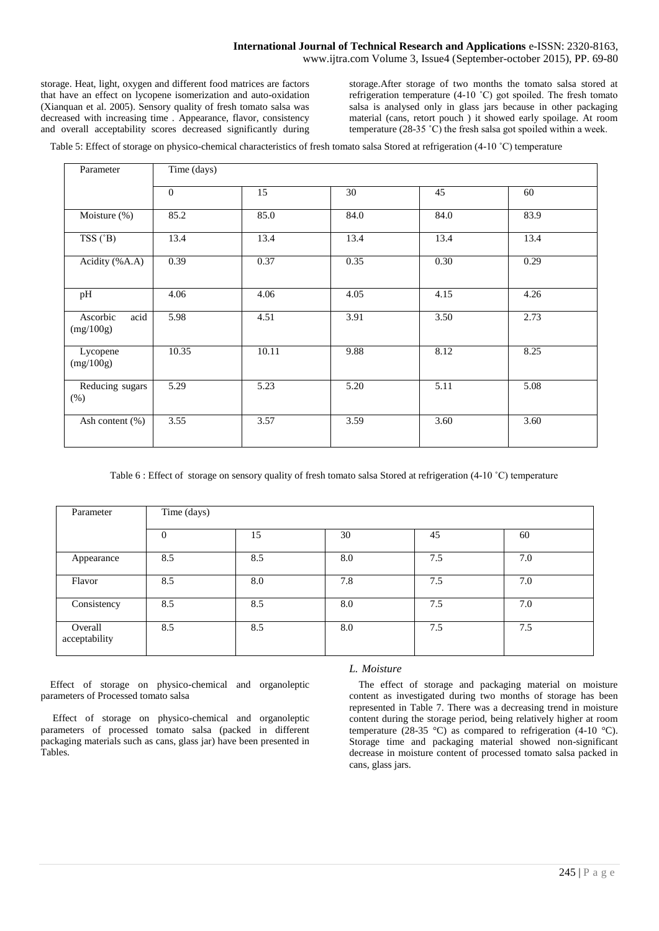storage. Heat, light, oxygen and different food matrices are factors that have an effect on lycopene isomerization and auto-oxidation (Xianquan et al. 2005). Sensory quality of fresh tomato salsa was decreased with increasing time . Appearance, flavor, consistency and overall acceptability scores decreased significantly during storage.After storage of two months the tomato salsa stored at refrigeration temperature (4-10 ˚C) got spoiled. The fresh tomato salsa is analysed only in glass jars because in other packaging material (cans, retort pouch ) it showed early spoilage. At room temperature  $(28-35 \degree C)$  the fresh salsa got spoiled within a week.

Table 5: Effect of storage on physico-chemical characteristics of fresh tomato salsa Stored at refrigeration (4-10 °C) temperature

| Parameter                     | Time (days)  |       |      |      |      |  |
|-------------------------------|--------------|-------|------|------|------|--|
|                               | $\mathbf{0}$ | 15    | 30   | 45   | 60   |  |
| Moisture (%)                  | 85.2         | 85.0  | 84.0 | 84.0 | 83.9 |  |
| $TSS(^{\circ}B)$              | 13.4         | 13.4  | 13.4 | 13.4 | 13.4 |  |
| Acidity (%A.A)                | 0.39         | 0.37  | 0.35 | 0.30 | 0.29 |  |
| pH                            | 4.06         | 4.06  | 4.05 | 4.15 | 4.26 |  |
| Ascorbic<br>acid<br>(mg/100g) | 5.98         | 4.51  | 3.91 | 3.50 | 2.73 |  |
| Lycopene<br>(mg/100g)         | 10.35        | 10.11 | 9.88 | 8.12 | 8.25 |  |
| Reducing sugars<br>$(\%)$     | 5.29         | 5.23  | 5.20 | 5.11 | 5.08 |  |
| Ash content (%)               | 3.55         | 3.57  | 3.59 | 3.60 | 3.60 |  |

Table 6 : Effect of storage on sensory quality of fresh tomato salsa Stored at refrigeration (4-10 °C) temperature

| Parameter                | Time (days) |     |     |     |     |  |  |
|--------------------------|-------------|-----|-----|-----|-----|--|--|
|                          | $\Omega$    | 15  | 30  | 45  | 60  |  |  |
| Appearance               | 8.5         | 8.5 | 8.0 | 7.5 | 7.0 |  |  |
| Flavor                   | 8.5         | 8.0 | 7.8 | 7.5 | 7.0 |  |  |
| Consistency              | 8.5         | 8.5 | 8.0 | 7.5 | 7.0 |  |  |
| Overall<br>acceptability | 8.5         | 8.5 | 8.0 | 7.5 | 7.5 |  |  |

Effect of storage on physico-chemical and organoleptic parameters of Processed tomato salsa

Effect of storage on physico-chemical and organoleptic parameters of processed tomato salsa (packed in different packaging materials such as cans, glass jar) have been presented in Tables.

#### *L. Moisture*

The effect of storage and packaging material on moisture content as investigated during two months of storage has been represented in Table 7. There was a decreasing trend in moisture content during the storage period, being relatively higher at room temperature (28-35 °C) as compared to refrigeration (4-10 °C). Storage time and packaging material showed non-significant decrease in moisture content of processed tomato salsa packed in cans, glass jars.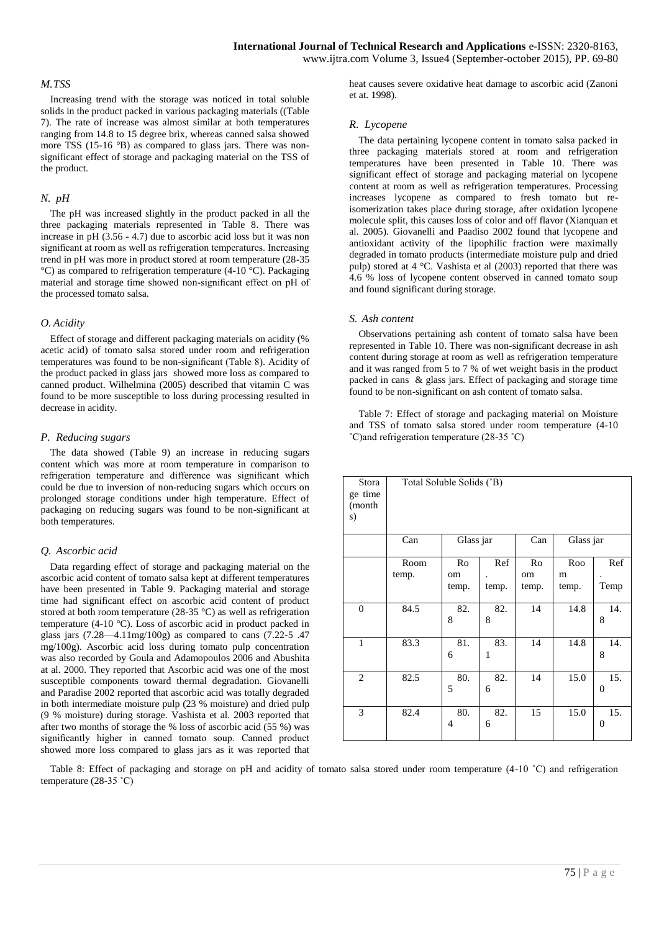#### *M.TSS*

Increasing trend with the storage was noticed in total soluble solids in the product packed in various packaging materials ((Table 7). The rate of increase was almost similar at both temperatures ranging from 14.8 to 15 degree brix, whereas canned salsa showed more TSS (15-16 °B) as compared to glass jars. There was nonsignificant effect of storage and packaging material on the TSS of the product.

#### *N. pH*

The pH was increased slightly in the product packed in all the three packaging materials represented in Table 8. There was increase in pH (3.56 - 4.7) due to ascorbic acid loss but it was non significant at room as well as refrigeration temperatures. Increasing trend in pH was more in product stored at room temperature (28-35  $\rm{°C}$ ) as compared to refrigeration temperature (4-10  $\rm{°C}$ ). Packaging material and storage time showed non-significant effect on pH of the processed tomato salsa.

#### *O. Acidity*

Effect of storage and different packaging materials on acidity (% acetic acid) of tomato salsa stored under room and refrigeration temperatures was found to be non-significant (Table 8). Acidity of the product packed in glass jars showed more loss as compared to canned product. Wilhelmina (2005) described that vitamin C was found to be more susceptible to loss during processing resulted in decrease in acidity.

#### *P. Reducing sugars*

The data showed (Table 9) an increase in reducing sugars content which was more at room temperature in comparison to refrigeration temperature and difference was significant which could be due to inversion of non-reducing sugars which occurs on prolonged storage conditions under high temperature. Effect of packaging on reducing sugars was found to be non-significant at both temperatures.

#### *Q. Ascorbic acid*

Data regarding effect of storage and packaging material on the ascorbic acid content of tomato salsa kept at different temperatures have been presented in Table 9. Packaging material and storage time had significant effect on ascorbic acid content of product stored at both room temperature (28-35 °C) as well as refrigeration temperature (4-10 °C). Loss of ascorbic acid in product packed in glass jars (7.28—4.11mg/100g) as compared to cans (7.22-5 .47 mg/100g). Ascorbic acid loss during tomato pulp concentration was also recorded by Goula and Adamopoulos 2006 and Abushita at al. 2000. They reported that Ascorbic acid was one of the most susceptible components toward thermal degradation. Giovanelli and Paradise 2002 reported that ascorbic acid was totally degraded in both intermediate moisture pulp (23 % moisture) and dried pulp (9 % moisture) during storage. Vashista et al. 2003 reported that after two months of storage the % loss of ascorbic acid (55 %) was significantly higher in canned tomato soup. Canned product showed more loss compared to glass jars as it was reported that

heat causes severe oxidative heat damage to ascorbic acid (Zanoni et at. 1998).

#### *R. Lycopene*

The data pertaining lycopene content in tomato salsa packed in three packaging materials stored at room and refrigeration temperatures have been presented in Table 10. There was significant effect of storage and packaging material on lycopene content at room as well as refrigeration temperatures. Processing increases lycopene as compared to fresh tomato but reisomerization takes place during storage, after oxidation lycopene molecule split, this causes loss of color and off flavor (Xianquan et al. 2005). Giovanelli and Paadiso 2002 found that lycopene and antioxidant activity of the lipophilic fraction were maximally degraded in tomato products (intermediate moisture pulp and dried pulp) stored at 4 °C. Vashista et al (2003) reported that there was 4.6 % loss of lycopene content observed in canned tomato soup and found significant during storage.

#### *S. Ash content*

Observations pertaining ash content of tomato salsa have been represented in Table 10. There was non-significant decrease in ash content during storage at room as well as refrigeration temperature and it was ranged from 5 to 7 % of wet weight basis in the product packed in cans & glass jars. Effect of packaging and storage time found to be non-significant on ash content of tomato salsa.

Table 7: Effect of storage and packaging material on Moisture and TSS of tomato salsa stored under room temperature (4-10 ˚C)and refrigeration temperature (28-35 ˚C)

| Stora<br>ge time<br>(month<br>s) | Total Soluble Solids (°B) |             |          |             |            |                       |  |  |
|----------------------------------|---------------------------|-------------|----------|-------------|------------|-----------------------|--|--|
|                                  | Can                       | Glass jar   |          | Can         | Glass jar  |                       |  |  |
|                                  | Room                      | Ro          | Ref      | Ro          | Roo        | Ref                   |  |  |
|                                  | temp.                     | om<br>temp. | temp.    | om<br>temp. | m<br>temp. | Temp                  |  |  |
| $\boldsymbol{0}$                 | 84.5                      | 82.<br>8    | 82.<br>8 | 14          | 14.8       | 14.<br>8              |  |  |
| $\mathbf{1}$                     | 83.3                      | 81.<br>6    | 83.<br>1 | 14          | 14.8       | 14.<br>8              |  |  |
| $\overline{2}$                   | 82.5                      | 80.<br>5    | 82.<br>6 | 14          | 15.0       | 15.<br>$\overline{0}$ |  |  |
| 3                                | 82.4                      | 80.<br>4    | 82.<br>6 | 15          | 15.0       | 15.<br>$\overline{0}$ |  |  |

Table 8: Effect of packaging and storage on pH and acidity of tomato salsa stored under room temperature (4-10 °C) and refrigeration temperature (28-35 ˚C)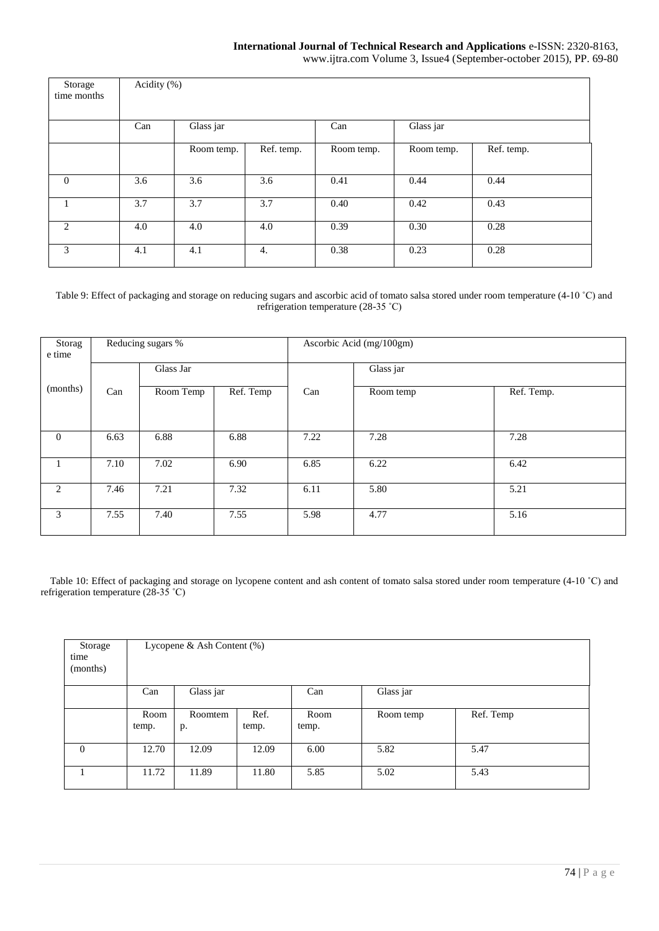www.ijtra.com Volume 3, Issue4 (September-october 2015), PP. 69-80

| Storage<br>time months | Acidity (%) |            |            |            |            |            |  |  |  |
|------------------------|-------------|------------|------------|------------|------------|------------|--|--|--|
|                        | Can         | Glass jar  |            | Can        | Glass jar  |            |  |  |  |
|                        |             | Room temp. | Ref. temp. | Room temp. | Room temp. | Ref. temp. |  |  |  |
| $\overline{0}$         | 3.6         | 3.6        | 3.6        | 0.41       | 0.44       | 0.44       |  |  |  |
|                        | 3.7         | 3.7        | 3.7        | 0.40       | 0.42       | 0.43       |  |  |  |
| 2                      | 4.0         | 4.0        | 4.0        | 0.39       | 0.30       | 0.28       |  |  |  |
| 3                      | 4.1         | 4.1        | 4.         | 0.38       | 0.23       | 0.28       |  |  |  |

Table 9: Effect of packaging and storage on reducing sugars and ascorbic acid of tomato salsa stored under room temperature (4-10 ˚C) and refrigeration temperature (28-35 ˚C)

| Storag<br>e time |           | Reducing sugars % |           |           | Ascorbic Acid (mg/100gm) |            |
|------------------|-----------|-------------------|-----------|-----------|--------------------------|------------|
|                  | Glass Jar |                   |           | Glass jar |                          |            |
| (months)         | Can       | Room Temp         | Ref. Temp | Can       | Room temp                | Ref. Temp. |
|                  |           |                   |           |           |                          |            |
| $\overline{0}$   | 6.63      | 6.88              | 6.88      | 7.22      | 7.28                     | 7.28       |
|                  | 7.10      | 7.02              | 6.90      | 6.85      | 6.22                     | 6.42       |
| 2                | 7.46      | 7.21              | 7.32      | 6.11      | 5.80                     | 5.21       |
| 3                | 7.55      | 7.40              | 7.55      | 5.98      | 4.77                     | 5.16       |

Table 10: Effect of packaging and storage on lycopene content and ash content of tomato salsa stored under room temperature (4-10 °C) and refrigeration temperature (28-35 ˚C)

| Storage<br>time<br>(months) | Lycopene & Ash Content $(\%)$ |               |               |                  |           |           |  |  |
|-----------------------------|-------------------------------|---------------|---------------|------------------|-----------|-----------|--|--|
|                             | Can                           | Glass jar     |               | Glass jar<br>Can |           |           |  |  |
|                             | Room<br>temp.                 | Roomtem<br>р. | Ref.<br>temp. | Room<br>temp.    | Room temp | Ref. Temp |  |  |
| $\overline{0}$              | 12.70                         | 12.09         | 12.09         | 6.00             | 5.82      | 5.47      |  |  |
|                             | 11.72                         | 11.89         | 11.80         | 5.85             | 5.02      | 5.43      |  |  |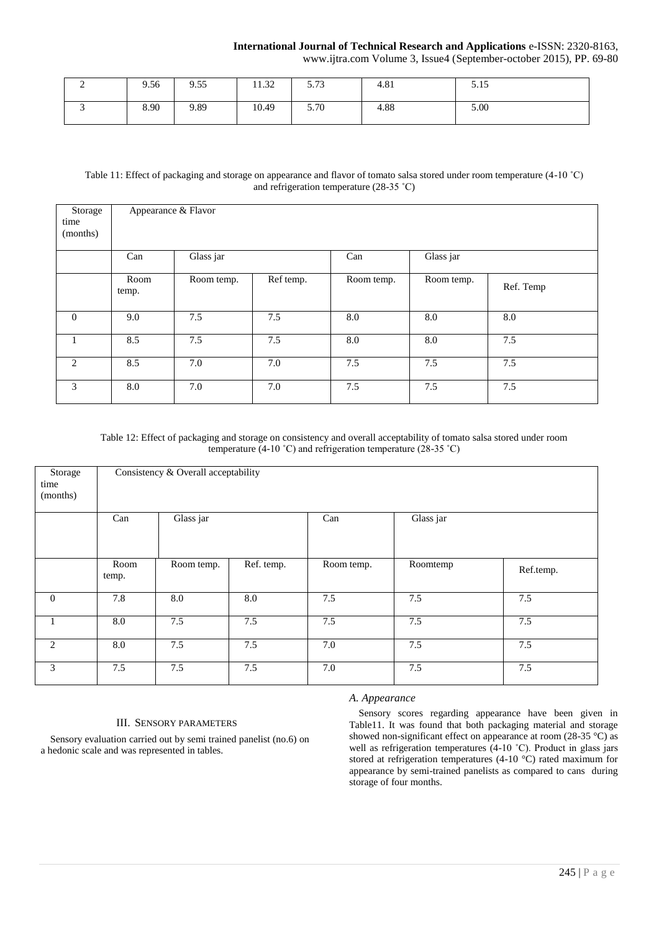www.ijtra.com Volume 3, Issue4 (September-october 2015), PP. 69-80

| ∸ | 9.56 | 9.55 | 11.32 | 5.72<br>3.13 | 4.81 | 5.15 |
|---|------|------|-------|--------------|------|------|
|   | 8.90 | 9.89 | 10.49 | 5.70         | 4.88 | 5.00 |

# Table 11: Effect of packaging and storage on appearance and flavor of tomato salsa stored under room temperature (4-10 ˚C) and refrigeration temperature (28-35 ˚C)

| Storage  | Appearance & Flavor |            |           |            |            |           |
|----------|---------------------|------------|-----------|------------|------------|-----------|
| time     |                     |            |           |            |            |           |
| (months) |                     |            |           |            |            |           |
|          |                     |            |           |            |            |           |
|          | Can                 | Glass jar  |           | Can        | Glass jar  |           |
|          |                     |            |           |            |            |           |
|          | Room                | Room temp. | Ref temp. | Room temp. | Room temp. | Ref. Temp |
|          | temp.               |            |           |            |            |           |
|          |                     |            |           |            |            |           |
| $\theta$ | 9.0                 | 7.5        | 7.5       | 8.0        | 8.0        | 8.0       |
|          |                     |            |           |            |            |           |
|          | 8.5                 | 7.5        | 7.5       | 8.0        | 8.0        | 7.5       |
|          |                     |            |           |            |            |           |
| 2        | 8.5                 | 7.0        | 7.0       | 7.5        | 7.5        | 7.5       |
|          |                     |            |           |            |            |           |
| 3        | 8.0                 | 7.0        | 7.0       | 7.5        | 7.5        | 7.5       |
|          |                     |            |           |            |            |           |

Table 12: Effect of packaging and storage on consistency and overall acceptability of tomato salsa stored under room temperature (4-10 °C) and refrigeration temperature (28-35 °C)

| Storage<br>time<br>(months) | Consistency & Overall acceptability |            |            |            |           |           |  |  |  |
|-----------------------------|-------------------------------------|------------|------------|------------|-----------|-----------|--|--|--|
|                             | Can                                 | Glass jar  |            | Can        | Glass jar |           |  |  |  |
|                             | Room<br>temp.                       | Room temp. | Ref. temp. | Room temp. | Roomtemp  | Ref.temp. |  |  |  |
| $\mathbf{0}$                | 7.8                                 | 8.0        | 8.0        | 7.5        | 7.5       | 7.5       |  |  |  |
|                             | 8.0                                 | 7.5        | 7.5        | 7.5        | 7.5       | 7.5       |  |  |  |
| 2                           | 8.0                                 | 7.5        | 7.5        | 7.0        | 7.5       | 7.5       |  |  |  |
| 3                           | 7.5                                 | 7.5        | 7.5        | 7.0        | 7.5       | 7.5       |  |  |  |

#### III. SENSORY PARAMETERS

Sensory evaluation carried out by semi trained panelist (no.6) on a hedonic scale and was represented in tables.

# *A. Appearance*

Sensory scores regarding appearance have been given in Table11. It was found that both packaging material and storage showed non-significant effect on appearance at room (28-35 °C) as well as refrigeration temperatures (4-10 °C). Product in glass jars stored at refrigeration temperatures (4-10 °C) rated maximum for appearance by semi-trained panelists as compared to cans during storage of four months.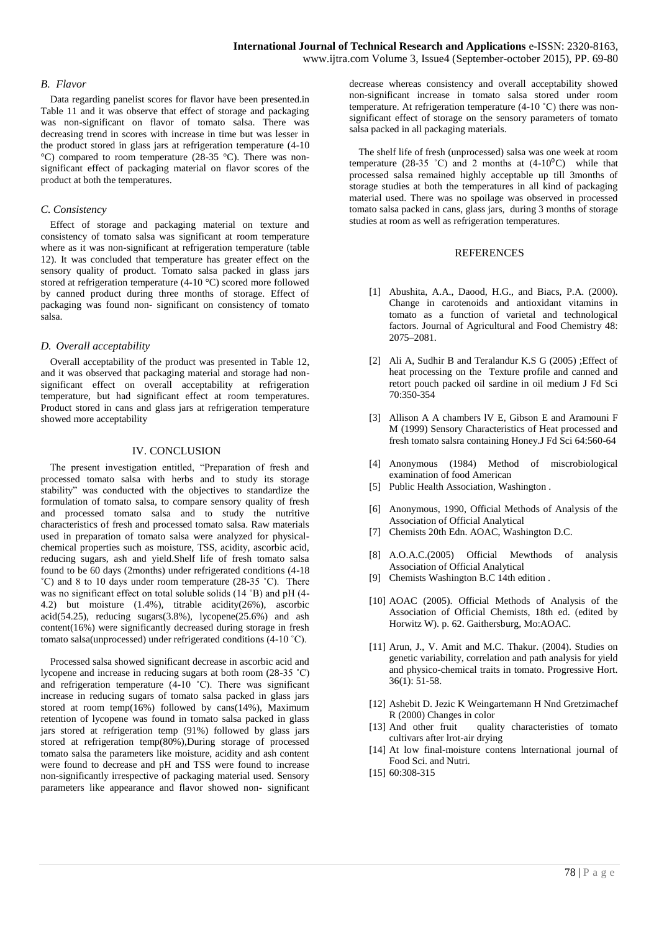#### *B. Flavor*

Data regarding panelist scores for flavor have been presented.in Table 11 and it was observe that effect of storage and packaging was non-significant on flavor of tomato salsa. There was decreasing trend in scores with increase in time but was lesser in the product stored in glass jars at refrigeration temperature (4-10 °C) compared to room temperature (28-35 °C). There was nonsignificant effect of packaging material on flavor scores of the product at both the temperatures.

# *C. Consistency*

Effect of storage and packaging material on texture and consistency of tomato salsa was significant at room temperature where as it was non-significant at refrigeration temperature (table 12). It was concluded that temperature has greater effect on the sensory quality of product. Tomato salsa packed in glass jars stored at refrigeration temperature (4-10 °C) scored more followed by canned product during three months of storage. Effect of packaging was found non- significant on consistency of tomato salsa.

# *D. Overall acceptability*

Overall acceptability of the product was presented in Table 12, and it was observed that packaging material and storage had nonsignificant effect on overall acceptability at refrigeration temperature, but had significant effect at room temperatures. Product stored in cans and glass jars at refrigeration temperature showed more acceptability

### IV. CONCLUSION

The present investigation entitled, "Preparation of fresh and processed tomato salsa with herbs and to study its storage stability" was conducted with the objectives to standardize the formulation of tomato salsa, to compare sensory quality of fresh and processed tomato salsa and to study the nutritive characteristics of fresh and processed tomato salsa. Raw materials used in preparation of tomato salsa were analyzed for physicalchemical properties such as moisture, TSS, acidity, ascorbic acid, reducing sugars, ash and yield.Shelf life of fresh tomato salsa found to be 60 days (2months) under refrigerated conditions (4-18  $^{\circ}$ C) and 8 to 10 days under room temperature (28-35  $^{\circ}$ C). There was no significant effect on total soluble solids (14 °B) and pH (4-4.2) but moisture (1.4%), titrable acidity(26%), ascorbic acid(54.25), reducing sugars(3.8%), lycopene(25.6%) and ash content(16%) were significantly decreased during storage in fresh tomato salsa(unprocessed) under refrigerated conditions (4-10 ˚C).

Processed salsa showed significant decrease in ascorbic acid and lycopene and increase in reducing sugars at both room (28-35 ˚C) and refrigeration temperature  $(4-10^\circ \text{C})$ . There was significant increase in reducing sugars of tomato salsa packed in glass jars stored at room temp(16%) followed by cans(14%), Maximum retention of lycopene was found in tomato salsa packed in glass jars stored at refrigeration temp (91%) followed by glass jars stored at refrigeration temp(80%),During storage of processed tomato salsa the parameters like moisture, acidity and ash content were found to decrease and pH and TSS were found to increase non-significantly irrespective of packaging material used. Sensory parameters like appearance and flavor showed non- significant

decrease whereas consistency and overall acceptability showed non-significant increase in tomato salsa stored under room temperature. At refrigeration temperature (4-10 ˚C) there was nonsignificant effect of storage on the sensory parameters of tomato salsa packed in all packaging materials.

The shelf life of fresh (unprocessed) salsa was one week at room temperature (28-35 °C) and 2 months at  $(4-10<sup>0</sup>C)$  while that processed salsa remained highly acceptable up till 3months of storage studies at both the temperatures in all kind of packaging material used. There was no spoilage was observed in processed tomato salsa packed in cans, glass jars, during 3 months of storage studies at room as well as refrigeration temperatures.

# **REFERENCES**

- [1] Abushita, A.A., Daood, H.G., and Biacs, P.A. (2000). Change in carotenoids and antioxidant vitamins in tomato as a function of varietal and technological factors. Journal of Agricultural and Food Chemistry 48: 2075–2081.
- [2] Ali A, Sudhir B and Teralandur K.S G (2005) ;Effect of heat processing on the Texture profile and canned and retort pouch packed oil sardine in oil medium J Fd Sci 70:350-354
- [3] Allison A A chambers lV E, Gibson E and Aramouni F M (1999) Sensory Characteristics of Heat processed and fresh tomato salsra containing Honey.J Fd Sci 64:560-64
- [4] Anonymous (1984) Method of miscrobiological examination of food American
- [5] Public Health Association, Washington .
- [6] Anonymous, 1990, Official Methods of Analysis of the Association of Official Analytical
- [7] Chemists 20th Edn. AOAC, Washington D.C.
- [8] A.O.A.C.(2005) Official Mewthods of analysis Association of Official Analytical
- [9] Chemists Washington B.C 14th edition.
- [10] AOAC (2005). Official Methods of Analysis of the Association of Official Chemists, 18th ed. (edited by Horwitz W). p. 62. Gaithersburg, Mo:AOAC.
- [11] Arun, J., V. Amit and M.C. Thakur. (2004). Studies on genetic variability, correlation and path analysis for yield and physico-chemical traits in tomato. Progressive Hort. 36(1): 51-58.
- [12] Ashebit D. Jezic K Weingartemann H Nnd Gretzimachef
- R (2000) Changes in color<br>[13] And other fruit quali quality characteristies of tomato cultivars after lrot-air drying
- [14] At low final-moisture contens International journal of Food Sci. and Nutri.
- [15] 60:308-315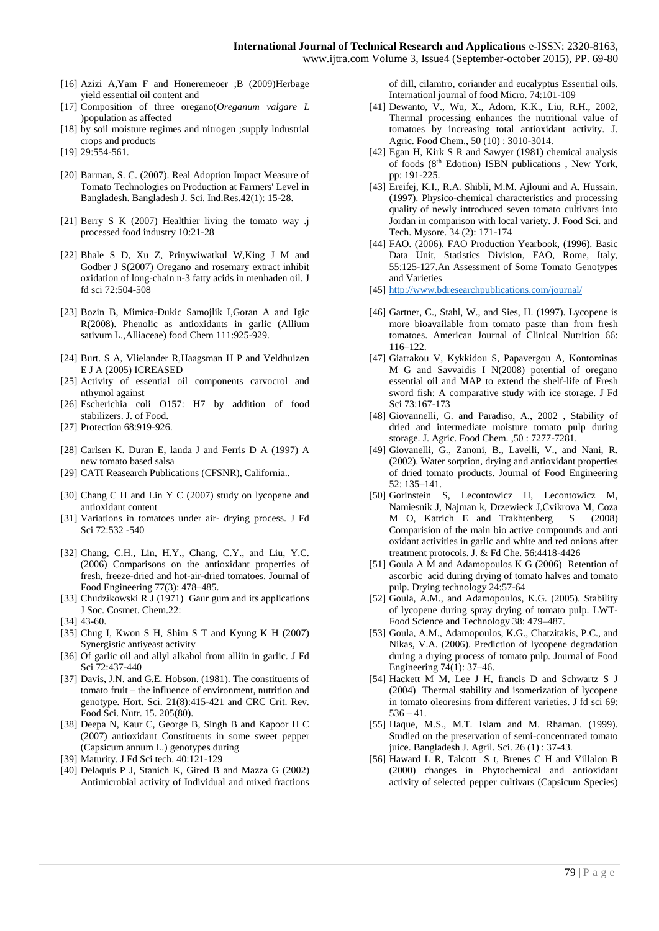www.ijtra.com Volume 3, Issue4 (September-october 2015), PP. 69-80

- [16] Azizi A,Yam F and Honeremeoer ;B (2009)Herbage yield essential oil content and
- [17] Composition of three oregano(*Oreganum valgare L* )population as affected
- [18] by soil moisture regimes and nitrogen ;supply lndustrial crops and products
- [19] 29:554-561.
- [20] Barman, S. C. (2007). Real Adoption Impact Measure of Tomato Technologies on Production at Farmers' Level in Bangladesh. Bangladesh J. Sci. Ind.Res.42(1): 15-28.
- [21] Berry S K (2007) Healthier living the tomato way .j processed food industry 10:21-28
- [22] Bhale S D, Xu Z, Prinywiwatkul W,King J M and Godber J S(2007) Oregano and rosemary extract inhibit oxidation of long-chain n-3 fatty acids in menhaden oil. J fd sci 72:504-508
- [23] Bozin B, Mimica-Dukic Samojlik I,Goran A and Igic R(2008). Phenolic as antioxidants in garlic (Allium sativum L.,Alliaceae) food Chem 111:925-929.
- [24] Burt. S A, Vlielander R, Haagsman H P and Veldhuizen E J A (2005) ICREASED
- [25] Activity of essential oil components carvocrol and nthymol against
- [26] Escherichia coli O157: H7 by addition of food stabilizers. J. of Food.
- [27] Protection 68:919-926.
- [28] Carlsen K. Duran E, landa J and Ferris D A (1997) A new tomato based salsa
- [29] CATI Reasearch Publications (CFSNR), California..
- [30] Chang C H and Lin Y C (2007) study on lycopene and antioxidant content
- [31] Variations in tomatoes under air- drying process. J Fd Sci 72:532 -540
- [32] Chang, C.H., Lin, H.Y., Chang, C.Y., and Liu, Y.C. (2006) Comparisons on the antioxidant properties of fresh, freeze-dried and hot-air-dried tomatoes. Journal of Food Engineering 77(3): 478–485.
- [33] Chudzikowski R J (1971) Gaur gum and its applications J Soc. Cosmet. Chem.22:
- [34] 43-60.
- [35] Chug I, Kwon S H, Shim S T and Kyung K H (2007) Synergistic antiyeast activity
- [36] Of garlic oil and allyl alkahol from alliin in garlic. J Fd Sci 72:437-440
- [37] Davis, J.N. and G.E. Hobson. (1981). The constituents of tomato fruit – the influence of environment, nutrition and genotype. Hort. Sci. 21(8):415-421 and CRC Crit. Rev. Food Sci. Nutr. 15. 205(80).
- [38] Deepa N, Kaur C, George B, Singh B and Kapoor H C (2007) antioxidant Constituents in some sweet pepper (Capsicum annum L.) genotypes during
- [39] Maturity. J Fd Sci tech. 40:121-129
- [40] Delaquis P J, Stanich K, Gired B and Mazza G (2002) Antimicrobial activity of Individual and mixed fractions

of dill, cilamtro, coriander and eucalyptus Essential oils. Internationl journal of food Micro. 74:101-109

- [41] Dewanto, V., Wu, X., Adom, K.K., Liu, R.H., 2002, Thermal processing enhances the nutritional value of tomatoes by increasing total antioxidant activity. J. Agric. Food Chem., 50 (10) : 3010-3014.
- [42] Egan H, Kirk S R and Sawyer (1981) chemical analysis of foods (8th Edotion) ISBN publications , New York, pp: 191-225.
- [43] Ereifej, K.I., R.A. Shibli, M.M. Ajlouni and A. Hussain. (1997). Physico-chemical characteristics and processing quality of newly introduced seven tomato cultivars into Jordan in comparison with local variety. J. Food Sci. and Tech. Mysore. 34 (2): 171-174
- [44] FAO. (2006). FAO Production Yearbook, (1996). Basic Data Unit, Statistics Division, FAO, Rome, Italy, 55:125-127.An Assessment of Some Tomato Genotypes and Varieties
- [45] <http://www.bdresearchpublications.com/journal/>
- [46] Gartner, C., Stahl, W., and Sies, H. (1997). Lycopene is more bioavailable from tomato paste than from fresh tomatoes. American Journal of Clinical Nutrition 66: 116–122.
- [47] Giatrakou V, Kykkidou S, Papavergou A, Kontominas M G and Savvaidis I N(2008) potential of oregano essential oil and MAP to extend the shelf-life of Fresh sword fish: A comparative study with ice storage. J Fd Sci 73:167-173
- [48] Giovannelli, G. and Paradiso, A., 2002 , Stability of dried and intermediate moisture tomato pulp during storage. J. Agric. Food Chem. ,50 : 7277-7281.
- [49] Giovanelli, G., Zanoni, B., Lavelli, V., and Nani, R. (2002). Water sorption, drying and antioxidant properties of dried tomato products. Journal of Food Engineering 52: 135–141.
- [50] Gorinstein S, Lecontowicz H, Lecontowicz M, Namiesnik J, Najman k, Drzewieck J,Cvikrova M, Coza M O, Katrich E and Trakhtenberg S (2008) Comparision of the main bio active compounds and anti oxidant activities in garlic and white and red onions after treatment protocols. J. & Fd Che. 56:4418-4426
- [51] Goula A M and Adamopoulos K G (2006) Retention of ascorbic acid during drying of tomato halves and tomato pulp. Drying technology 24:57-64
- [52] Goula, A.M., and Adamopoulos, K.G. (2005). Stability of lycopene during spray drying of tomato pulp. LWT-Food Science and Technology 38: 479–487.
- [53] Goula, A.M., Adamopoulos, K.G., Chatzitakis, P.C., and Nikas, V.A. (2006). Prediction of lycopene degradation during a drying process of tomato pulp. Journal of Food Engineering 74(1): 37–46.
- [54] Hackett M M, Lee J H, francis D and Schwartz S J (2004) Thermal stability and isomerization of lycopene in tomato oleoresins from different varieties. J fd sci 69:  $536 - 41$ .
- [55] Haque, M.S., M.T. Islam and M. Rhaman. (1999). Studied on the preservation of semi-concentrated tomato juice. Bangladesh J. Agril. Sci. 26 (1) : 37-43.
- [56] Haward L R, Talcott S t, Brenes C H and Villalon B (2000) changes in Phytochemical and antioxidant activity of selected pepper cultivars (Capsicum Species)